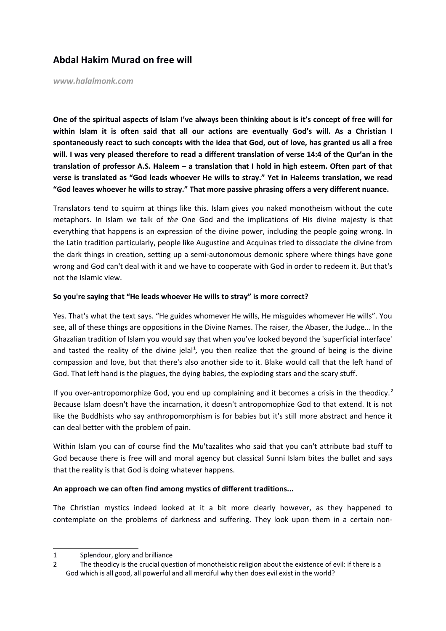# **Abdal Hakim Murad on free will**

*www.halalmonk.com*

**One of the spiritual aspects of Islam I've always been thinking about is it's concept of free will for within Islam it is often said that all our actions are eventually God's will. As a Christian I spontaneously react to such concepts with the idea that God, out of love, has granted us all a free will. I was very pleased therefore to read a different translation of verse 14:4 of the Qur'an in the translation of professor A.S. Haleem – a translation that I hold in high esteem. Often part of that verse is translated as "God leads whoever He wills to stray." Yet in Haleems translation, we read "God leaves whoever he wills to stray." That more passive phrasing offers a very different nuance.**

Translators tend to squirm at things like this. Islam gives you naked monotheism without the cute metaphors. In Islam we talk of *the* One God and the implications of His divine majesty is that everything that happens is an expression of the divine power, including the people going wrong. In the Latin tradition particularly, people like Augustine and Acquinas tried to dissociate the divine from the dark things in creation, setting up a semi-autonomous demonic sphere where things have gone wrong and God can't deal with it and we have to cooperate with God in order to redeem it. But that's not the Islamic view.

### **So you're saying that "He leads whoever He wills to stray" is more correct?**

Yes. That's what the text says. "He guides whomever He wills, He misguides whomever He wills". You see, all of these things are oppositions in the Divine Names. The raiser, the Abaser, the Judge... In the Ghazalian tradition of Islam you would say that when you've looked beyond the 'superficial interface' and tasted the reality of the divine jelal<sup>[1](#page-0-0)</sup>, you then realize that the ground of being is the divine compassion and love, but that there's also another side to it. Blake would call that the left hand of God. That left hand is the plagues, the dying babies, the exploding stars and the scary stuff.

If you over-antropomorphize God, you end up complaining and it becomes a crisis in the theodicy.<sup>[2](#page-0-1)</sup> Because Islam doesn't have the incarnation, it doesn't antropomophize God to that extend. It is not like the Buddhists who say anthropomorphism is for babies but it's still more abstract and hence it can deal better with the problem of pain.

Within Islam you can of course find the Mu'tazalites who said that you can't attribute bad stuff to God because there is free will and moral agency but classical Sunni Islam bites the bullet and says that the reality is that God is doing whatever happens.

# **An approach we can often find among mystics of different traditions...**

The Christian mystics indeed looked at it a bit more clearly however, as they happened to contemplate on the problems of darkness and suffering. They look upon them in a certain non-

<span id="page-0-0"></span><sup>1</sup> Splendour, glory and brilliance

<span id="page-0-1"></span><sup>2</sup> The theodicy is the crucial question of monotheistic religion about the existence of evil: if there is a God which is all good, all powerful and all merciful why then does evil exist in the world?